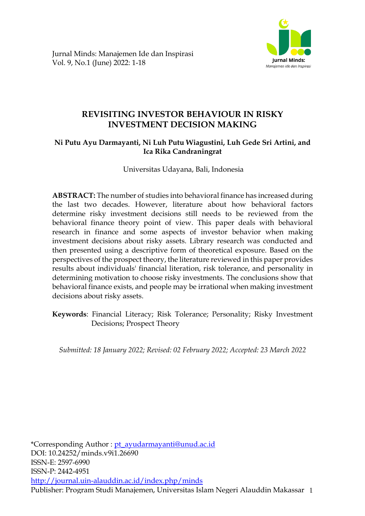



Jurnal Minds: Manajemen Ide dan Inspirasi Vol. 9, No.1 (June) 2022: 1-18

# **REVISITING INVESTOR BEHAVIOUR IN RISKY INVESTMENT DECISION MAKING**

## **Ni Putu Ayu Darmayanti, Ni Luh Putu Wiagustini, Luh Gede Sri Artini, and Ica Rika Candraningrat**

Universitas Udayana, Bali, Indonesia

**ABSTRACT:** The number of studies into behavioral finance has increased during the last two decades. However, literature about how behavioral factors determine risky investment decisions still needs to be reviewed from the behavioral finance theory point of view. This paper deals with behavioral research in finance and some aspects of investor behavior when making investment decisions about risky assets. Library research was conducted and then presented using a descriptive form of theoretical exposure. Based on the perspectives of the prospect theory, the literature reviewed in this paper provides results about individuals' financial literation, risk tolerance, and personality in determining motivation to choose risky investments. The conclusions show that behavioral finance exists, and people may be irrational when making investment decisions about risky assets.

**Keywords**: Financial Literacy; Risk Tolerance; Personality; Risky Investment Decisions; Prospect Theory

*Submitted: 18 January 2022; Revised: 02 February 2022; Accepted: 23 March 2022*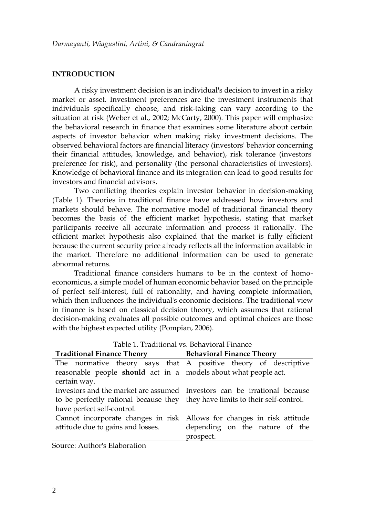## **INTRODUCTION**

A risky investment decision is an individual's decision to invest in a risky market or asset. Investment preferences are the investment instruments that individuals specifically choose, and risk-taking can vary according to the situation at risk (Weber et al., 2002; McCarty, 2000). This paper will emphasize the behavioral research in finance that examines some literature about certain aspects of investor behavior when making risky investment decisions. The observed behavioral factors are financial literacy (investors' behavior concerning their financial attitudes, knowledge, and behavior), risk tolerance (investors' preference for risk), and personality (the personal characteristics of investors). Knowledge of behavioral finance and its integration can lead to good results for investors and financial advisors.

Two conflicting theories explain investor behavior in decision-making (Table 1). Theories in traditional finance have addressed how investors and markets should behave. The normative model of traditional financial theory becomes the basis of the efficient market hypothesis, stating that market participants receive all accurate information and process it rationally. The efficient market hypothesis also explained that the market is fully efficient because the current security price already reflects all the information available in the market. Therefore no additional information can be used to generate abnormal returns.

Traditional finance considers humans to be in the context of homoeconomicus, a simple model of human economic behavior based on the principle of perfect self-interest, full of rationality, and having complete information, which then influences the individual's economic decisions. The traditional view in finance is based on classical decision theory, which assumes that rational decision-making evaluates all possible outcomes and optimal choices are those with the highest expected utility (Pompian, 2006).

| <b>Traditional Finance Theory</b>                                             | <b>Behavioral Finance Theory</b> |
|-------------------------------------------------------------------------------|----------------------------------|
| The normative theory says that A positive theory of descriptive               |                                  |
| reasonable people should act in a models about what people act.               |                                  |
| certain way.                                                                  |                                  |
| Investors and the market are assumed Investors can be irrational because      |                                  |
| to be perfectly rational because they they have limits to their self-control. |                                  |
| have perfect self-control.                                                    |                                  |
| Cannot incorporate changes in risk Allows for changes in risk attitude        |                                  |
| attitude due to gains and losses.                                             | depending on the nature of the   |
|                                                                               | prospect.                        |

Table 1. Traditional vs. Behavioral Finance

Source: Author's Elaboration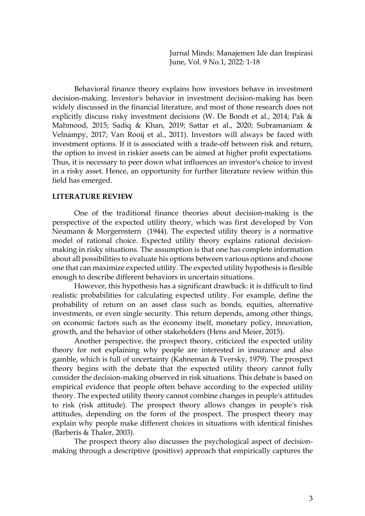Behavioral finance theory explains how investors behave in investment decision-making. Investor's behavior in investment decision-making has been widely discussed in the financial literature, and most of those research does not explicitly discuss risky investment decisions (W. De Bondt et al., 2014; Pak & Mahmood, 2015; Sadiq & Khan, 2019; Sattar et al., 2020; Subramaniam & Velnampy, 2017; Van Rooij et al., 2011). Investors will always be faced with investment options. If it is associated with a trade-off between risk and return, the option to invest in riskier assets can be aimed at higher profit expectations. Thus, it is necessary to peer down what influences an investor's choice to invest in a risky asset. Hence, an opportunity for further literature review within this field has emerged.

#### **LITERATURE REVIEW**

One of the traditional finance theories about decision-making is the perspective of the expected utility theory, which was first developed by Von Neumann & Morgernstern (1944). The expected utility theory is a normative model of rational choice. Expected utility theory explains rational decisionmaking in risky situations. The assumption is that one has complete information about all possibilities to evaluate his options between various options and choose one that can maximize expected utility. The expected utility hypothesis is flexible enough to describe different behaviors in uncertain situations.

However, this hypothesis has a significant drawback: it is difficult to find realistic probabilities for calculating expected utility. For example, define the probability of return on an asset class such as bonds, equities, alternative investments, or even single security. This return depends, among other things, on economic factors such as the economy itself, monetary policy, innovation, growth, and the behavior of other stakeholders (Hens and Meier, 2015).

Another perspective, the prospect theory, criticized the expected utility theory for not explaining why people are interested in insurance and also gamble, which is full of uncertainty (Kahneman & Tversky, 1979). The prospect theory begins with the debate that the expected utility theory cannot fully consider the decision-making observed in risk situations. This debate is based on empirical evidence that people often behave according to the expected utility theory. The expected utility theory cannot combine changes in people's attitudes to risk (risk attitude). The prospect theory allows changes in people's risk attitudes, depending on the form of the prospect. The prospect theory may explain why people make different choices in situations with identical finishes (Barberis & Thaler, 2003).

The prospect theory also discusses the psychological aspect of decisionmaking through a descriptive (positive) approach that empirically captures the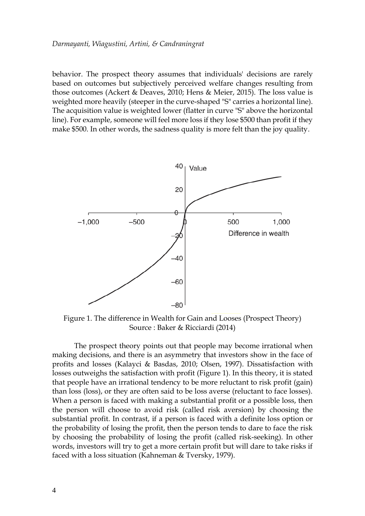behavior. The prospect theory assumes that individuals' decisions are rarely based on outcomes but subjectively perceived welfare changes resulting from those outcomes (Ackert & Deaves, 2010; Hens & Meier, 2015). The loss value is weighted more heavily (steeper in the curve-shaped "S" carries a horizontal line). The acquisition value is weighted lower (flatter in curve "S" above the horizontal line). For example, someone will feel more loss if they lose \$500 than profit if they make \$500. In other words, the sadness quality is more felt than the joy quality.



Figure 1. The difference in Wealth for Gain and Looses (Prospect Theory) Source : Baker & Ricciardi (2014)

The prospect theory points out that people may become irrational when making decisions, and there is an asymmetry that investors show in the face of profits and losses (Kalayci & Basdas, 2010; Olsen, 1997). Dissatisfaction with losses outweighs the satisfaction with profit (Figure 1). In this theory, it is stated that people have an irrational tendency to be more reluctant to risk profit (gain) than loss (loss), or they are often said to be loss averse (reluctant to face losses). When a person is faced with making a substantial profit or a possible loss, then the person will choose to avoid risk (called risk aversion) by choosing the substantial profit. In contrast, if a person is faced with a definite loss option or the probability of losing the profit, then the person tends to dare to face the risk by choosing the probability of losing the profit (called risk-seeking). In other words, investors will try to get a more certain profit but will dare to take risks if faced with a loss situation (Kahneman & Tversky, 1979).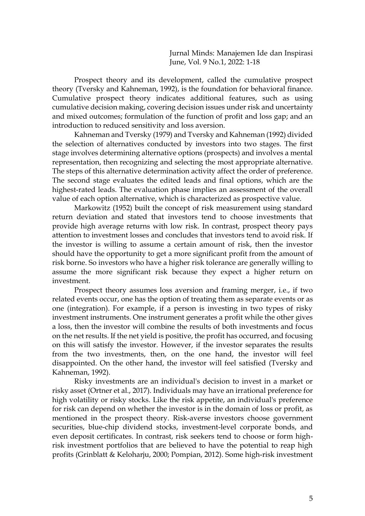Prospect theory and its development, called the cumulative prospect theory (Tversky and Kahneman, 1992), is the foundation for behavioral finance. Cumulative prospect theory indicates additional features, such as using cumulative decision making, covering decision issues under risk and uncertainty and mixed outcomes; formulation of the function of profit and loss gap; and an introduction to reduced sensitivity and loss aversion.

Kahneman and Tversky (1979) and Tversky and Kahneman (1992) divided the selection of alternatives conducted by investors into two stages. The first stage involves determining alternative options (prospects) and involves a mental representation, then recognizing and selecting the most appropriate alternative. The steps of this alternative determination activity affect the order of preference. The second stage evaluates the edited leads and final options, which are the highest-rated leads. The evaluation phase implies an assessment of the overall value of each option alternative, which is characterized as prospective value.

Markowitz (1952) built the concept of risk measurement using standard return deviation and stated that investors tend to choose investments that provide high average returns with low risk. In contrast, prospect theory pays attention to investment losses and concludes that investors tend to avoid risk. If the investor is willing to assume a certain amount of risk, then the investor should have the opportunity to get a more significant profit from the amount of risk borne. So investors who have a higher risk tolerance are generally willing to assume the more significant risk because they expect a higher return on investment.

Prospect theory assumes loss aversion and framing merger, i.e., if two related events occur, one has the option of treating them as separate events or as one (integration). For example, if a person is investing in two types of risky investment instruments. One instrument generates a profit while the other gives a loss, then the investor will combine the results of both investments and focus on the net results. If the net yield is positive, the profit has occurred, and focusing on this will satisfy the investor. However, if the investor separates the results from the two investments, then, on the one hand, the investor will feel disappointed. On the other hand, the investor will feel satisfied (Tversky and Kahneman, 1992).

Risky investments are an individual's decision to invest in a market or risky asset (Ortner et al., 2017). Individuals may have an irrational preference for high volatility or risky stocks. Like the risk appetite, an individual's preference for risk can depend on whether the investor is in the domain of loss or profit, as mentioned in the prospect theory. Risk-averse investors choose government securities, blue-chip dividend stocks, investment-level corporate bonds, and even deposit certificates. In contrast, risk seekers tend to choose or form highrisk investment portfolios that are believed to have the potential to reap high profits (Grinblatt & Keloharju, 2000; Pompian, 2012). Some high-risk investment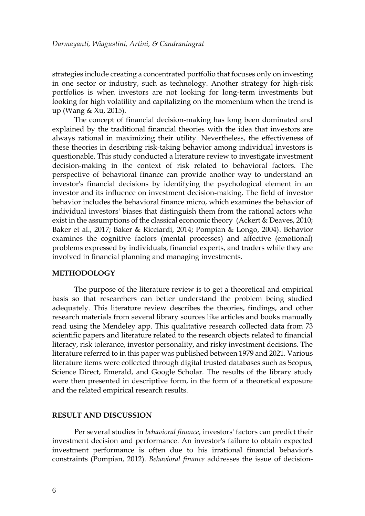strategies include creating a concentrated portfolio that focuses only on investing in one sector or industry, such as technology. Another strategy for high-risk portfolios is when investors are not looking for long-term investments but looking for high volatility and capitalizing on the momentum when the trend is up (Wang & Xu, 2015).

The concept of financial decision-making has long been dominated and explained by the traditional financial theories with the idea that investors are always rational in maximizing their utility. Nevertheless, the effectiveness of these theories in describing risk-taking behavior among individual investors is questionable. This study conducted a literature review to investigate investment decision-making in the context of risk related to behavioral factors. The perspective of behavioral finance can provide another way to understand an investor's financial decisions by identifying the psychological element in an investor and its influence on investment decision-making. The field of investor behavior includes the behavioral finance micro, which examines the behavior of individual investors' biases that distinguish them from the rational actors who exist in the assumptions of the classical economic theory (Ackert & Deaves, 2010; Baker et al., 2017; Baker & Ricciardi, 2014; Pompian & Longo, 2004). Behavior examines the cognitive factors (mental processes) and affective (emotional) problems expressed by individuals, financial experts, and traders while they are involved in financial planning and managing investments.

#### **METHODOLOGY**

The purpose of the literature review is to get a theoretical and empirical basis so that researchers can better understand the problem being studied adequately. This literature review describes the theories, findings, and other research materials from several library sources like articles and books manually read using the Mendeley app. This qualitative research collected data from 73 scientific papers and literature related to the research objects related to financial literacy, risk tolerance, investor personality, and risky investment decisions. The literature referred to in this paper was published between 1979 and 2021. Various literature items were collected through digital trusted databases such as Scopus, Science Direct, Emerald, and Google Scholar. The results of the library study were then presented in descriptive form, in the form of a theoretical exposure and the related empirical research results.

## **RESULT AND DISCUSSION**

Per several studies in *behavioral finance,* investors' factors can predict their investment decision and performance. An investor's failure to obtain expected investment performance is often due to his irrational financial behavior's constraints (Pompian, 2012). *Behavioral finance* addresses the issue of decision-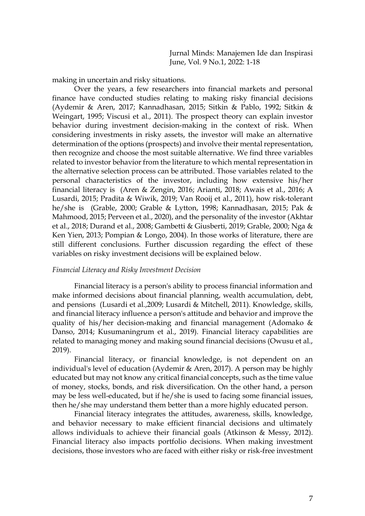making in uncertain and risky situations.

Over the years, a few researchers into financial markets and personal finance have conducted studies relating to making risky financial decisions (Aydemir & Aren, 2017; Kannadhasan, 2015; Sitkin & Pablo, 1992; Sitkin & Weingart, 1995; Viscusi et al., 2011). The prospect theory can explain investor behavior during investment decision-making in the context of risk. When considering investments in risky assets, the investor will make an alternative determination of the options (prospects) and involve their mental representation, then recognize and choose the most suitable alternative. We find three variables related to investor behavior from the literature to which mental representation in the alternative selection process can be attributed. Those variables related to the personal characteristics of the investor, including how extensive his/her financial literacy is (Aren & Zengin, 2016; Arianti, 2018; Awais et al., 2016; A Lusardi, 2015; Pradita & Wiwik, 2019; Van Rooij et al., 2011), how risk-tolerant he/she is (Grable, 2000; Grable & Lytton, 1998; Kannadhasan, 2015; Pak & Mahmood, 2015; Perveen et al., 2020), and the personality of the investor (Akhtar et al., 2018; Durand et al., 2008; Gambetti & Giusberti, 2019; Grable, 2000; Nga & Ken Yien, 2013; Pompian & Longo, 2004). In those works of literature, there are still different conclusions. Further discussion regarding the effect of these variables on risky investment decisions will be explained below.

#### *Financial Literacy and Risky Investment Decision*

Financial literacy is a person's ability to process financial information and make informed decisions about financial planning, wealth accumulation, debt, and pensions (Lusardi et al.,2009; Lusardi & Mitchell, 2011). Knowledge, skills, and financial literacy influence a person's attitude and behavior and improve the quality of his/her decision-making and financial management (Adomako & Danso, 2014; Kusumaningrum et al., 2019). Financial literacy capabilities are related to managing money and making sound financial decisions (Owusu et al., 2019).

Financial literacy, or financial knowledge, is not dependent on an individual's level of education (Aydemir & Aren, 2017). A person may be highly educated but may not know any critical financial concepts, such as the time value of money, stocks, bonds, and risk diversification. On the other hand, a person may be less well-educated, but if he/she is used to facing some financial issues, then he/she may understand them better than a more highly educated person.

Financial literacy integrates the attitudes, awareness, skills, knowledge, and behavior necessary to make efficient financial decisions and ultimately allows individuals to achieve their financial goals (Atkinson & Messy, 2012). Financial literacy also impacts portfolio decisions. When making investment decisions, those investors who are faced with either risky or risk-free investment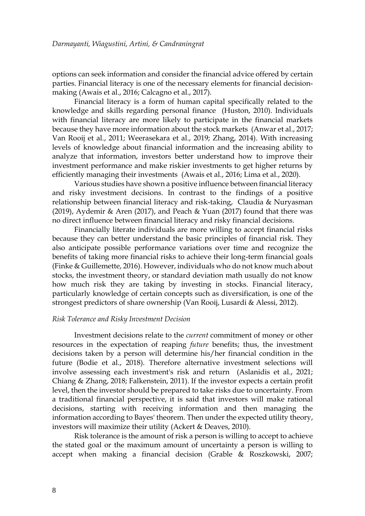options can seek information and consider the financial advice offered by certain parties. Financial literacy is one of the necessary elements for financial decisionmaking (Awais et al., 2016; Calcagno et al., 2017).

Financial literacy is a form of human capital specifically related to the knowledge and skills regarding personal finance (Huston, 2010). Individuals with financial literacy are more likely to participate in the financial markets because they have more information about the stock markets (Anwar et al., 2017; Van Rooij et al., 2011; Weerasekara et al., 2019; Zhang, 2014). With increasing levels of knowledge about financial information and the increasing ability to analyze that information, investors better understand how to improve their investment performance and make riskier investments to get higher returns by efficiently managing their investments (Awais et al., 2016; Lima et al., 2020).

Various studies have shown a positive influence between financial literacy and risky investment decisions. In contrast to the findings of a positive relationship between financial literacy and risk-taking, Claudia & Nuryasman (2019), Aydemir & Aren (2017), and Peach & Yuan (2017) found that there was no direct influence between financial literacy and risky financial decisions.

Financially literate individuals are more willing to accept financial risks because they can better understand the basic principles of financial risk. They also anticipate possible performance variations over time and recognize the benefits of taking more financial risks to achieve their long-term financial goals (Finke & Guillemette, 2016). However, individuals who do not know much about stocks, the investment theory, or standard deviation math usually do not know how much risk they are taking by investing in stocks. Financial literacy, particularly knowledge of certain concepts such as diversification, is one of the strongest predictors of share ownership (Van Rooij, Lusardi & Alessi, 2012).

## *Risk Tolerance and Risky Investment Decision*

Investment decisions relate to the *current* commitment of money or other resources in the expectation of reaping *future* benefits; thus, the investment decisions taken by a person will determine his/her financial condition in the future (Bodie et al., 2018). Therefore alternative investment selections will involve assessing each investment's risk and return (Aslanidis et al., 2021; Chiang & Zhang, 2018; Falkenstein, 2011). If the investor expects a certain profit level, then the investor should be prepared to take risks due to uncertainty. From a traditional financial perspective, it is said that investors will make rational decisions, starting with receiving information and then managing the information according to Bayes' theorem. Then under the expected utility theory, investors will maximize their utility (Ackert & Deaves, 2010).

Risk tolerance is the amount of risk a person is willing to accept to achieve the stated goal or the maximum amount of uncertainty a person is willing to accept when making a financial decision (Grable & Roszkowski, 2007;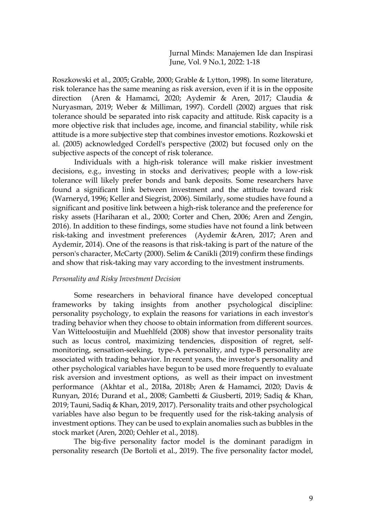Roszkowski et al., 2005; Grable, 2000; Grable & Lytton, 1998). In some literature, risk tolerance has the same meaning as risk aversion, even if it is in the opposite direction (Aren & Hamamci, 2020; Aydemir & Aren, 2017; Claudia & Nuryasman, 2019; Weber & Milliman, 1997). Cordell (2002) argues that risk tolerance should be separated into risk capacity and attitude. Risk capacity is a more objective risk that includes age, income, and financial stability, while risk attitude is a more subjective step that combines investor emotions. Rozkowski et al. (2005) acknowledged Cordell's perspective (2002) but focused only on the subjective aspects of the concept of risk tolerance.

Individuals with a high-risk tolerance will make riskier investment decisions, e.g., investing in stocks and derivatives; people with a low-risk tolerance will likely prefer bonds and bank deposits. Some researchers have found a significant link between investment and the attitude toward risk (Warneryd, 1996; Keller and Siegrist, 2006). Similarly, some studies have found a significant and positive link between a high-risk tolerance and the preference for risky assets (Hariharan et al., 2000; Corter and Chen, 2006; Aren and Zengin, 2016). In addition to these findings, some studies have not found a link between risk-taking and investment preferences (Aydemir &Aren, 2017; Aren and Aydemir, 2014). One of the reasons is that risk-taking is part of the nature of the person's character, McCarty (2000). Selim & Canikli (2019) confirm these findings and show that risk-taking may vary according to the investment instruments.

#### *Personality and Risky Investment Decision*

Some researchers in behavioral finance have developed conceptual frameworks by taking insights from another psychological discipline: personality psychology, to explain the reasons for variations in each investor's trading behavior when they choose to obtain information from different sources. Van Witteloostuijin and Muehlfeld (2008) show that investor personality traits such as locus control, maximizing tendencies, disposition of regret, selfmonitoring, sensation-seeking, type-A personality, and type-B personality are associated with trading behavior. In recent years, the investor's personality and other psychological variables have begun to be used more frequently to evaluate risk aversion and investment options, as well as their impact on investment performance (Akhtar et al., 2018a, 2018b; Aren & Hamamci, 2020; Davis & Runyan, 2016; Durand et al., 2008; Gambetti & Giusberti, 2019; Sadiq & Khan, 2019; Tauni, Sadiq & Khan, 2019, 2017). Personality traits and other psychological variables have also begun to be frequently used for the risk-taking analysis of investment options. They can be used to explain anomalies such as bubbles in the stock market (Aren, 2020; Oehler et al., 2018).

The big-five personality factor model is the dominant paradigm in personality research (De Bortoli et al., 2019). The five personality factor model,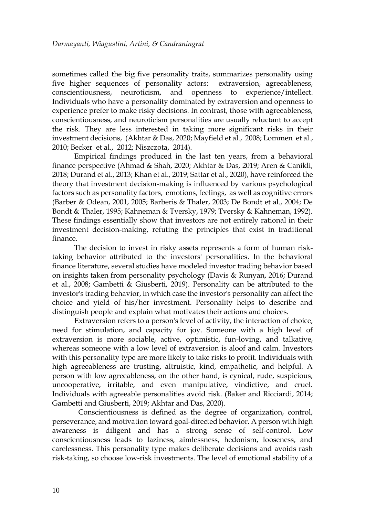sometimes called the big five personality traits, summarizes personality using five higher sequences of personality actors: extraversion, agreeableness, conscientiousness, neuroticism, and openness to experience/intellect. Individuals who have a personality dominated by extraversion and openness to experience prefer to make risky decisions. In contrast, those with agreeableness, conscientiousness, and neuroticism personalities are usually reluctant to accept the risk. They are less interested in taking more significant risks in their investment decisions, (Akhtar & Das, 2020; Mayfield et al., 2008; Lommen et al., 2010; Becker et al., 2012; Niszczota, 2014).

Empirical findings produced in the last ten years, from a behavioral finance perspective (Ahmad & Shah, 2020; Akhtar & Das, 2019; Aren & Canikli, 2018; Durand et al., 2013; Khan et al., 2019; Sattar et al., 2020), have reinforced the theory that investment decision-making is influenced by various psychological factors such as personality factors, emotions, feelings, as well as cognitive errors (Barber & Odean, 2001, 2005; Barberis & Thaler, 2003; De Bondt et al., 2004; De Bondt & Thaler, 1995; Kahneman & Tversky, 1979; Tversky & Kahneman, 1992). These findings essentially show that investors are not entirely rational in their investment decision-making, refuting the principles that exist in traditional finance.

The decision to invest in risky assets represents a form of human risktaking behavior attributed to the investors' personalities. In the behavioral finance literature, several studies have modeled investor trading behavior based on insights taken from personality psychology (Davis & Runyan, 2016; Durand et al., 2008; Gambetti & Giusberti, 2019). Personality can be attributed to the investor's trading behavior, in which case the investor's personality can affect the choice and yield of his/her investment. Personality helps to describe and distinguish people and explain what motivates their actions and choices.

Extraversion refers to a person's level of activity, the interaction of choice, need for stimulation, and capacity for joy. Someone with a high level of extraversion is more sociable, active, optimistic, fun-loving, and talkative, whereas someone with a low level of extraversion is aloof and calm. Investors with this personality type are more likely to take risks to profit. Individuals with high agreeableness are trusting, altruistic, kind, empathetic, and helpful. A person with low agreeableness, on the other hand, is cynical, rude, suspicious, uncooperative, irritable, and even manipulative, vindictive, and cruel. Individuals with agreeable personalities avoid risk. (Baker and Ricciardi, 2014; Gambetti and Giusberti, 2019; Akhtar and Das, 2020).

Conscientiousness is defined as the degree of organization, control, perseverance, and motivation toward goal-directed behavior. A person with high awareness is diligent and has a strong sense of self-control. Low conscientiousness leads to laziness, aimlessness, hedonism, looseness, and carelessness. This personality type makes deliberate decisions and avoids rash risk-taking, so choose low-risk investments. The level of emotional stability of a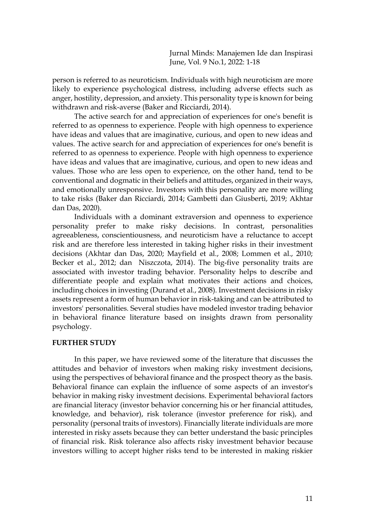person is referred to as neuroticism. Individuals with high neuroticism are more likely to experience psychological distress, including adverse effects such as anger, hostility, depression, and anxiety. This personality type is known for being withdrawn and risk-averse (Baker and Ricciardi, 2014).

The active search for and appreciation of experiences for one's benefit is referred to as openness to experience. People with high openness to experience have ideas and values that are imaginative, curious, and open to new ideas and values. The active search for and appreciation of experiences for one's benefit is referred to as openness to experience. People with high openness to experience have ideas and values that are imaginative, curious, and open to new ideas and values. Those who are less open to experience, on the other hand, tend to be conventional and dogmatic in their beliefs and attitudes, organized in their ways, and emotionally unresponsive. Investors with this personality are more willing to take risks (Baker dan Ricciardi, 2014; Gambetti dan Giusberti, 2019; Akhtar dan Das, 2020).

Individuals with a dominant extraversion and openness to experience personality prefer to make risky decisions. In contrast, personalities agreeableness, conscientiousness, and neuroticism have a reluctance to accept risk and are therefore less interested in taking higher risks in their investment decisions (Akhtar dan Das, 2020; Mayfield et al., 2008; Lommen et al., 2010; Becker et al., 2012; dan Niszczota, 2014). The big-five personality traits are associated with investor trading behavior. Personality helps to describe and differentiate people and explain what motivates their actions and choices, including choices in investing (Durand et al., 2008). Investment decisions in risky assets represent a form of human behavior in risk-taking and can be attributed to investors' personalities. Several studies have modeled investor trading behavior in behavioral finance literature based on insights drawn from personality psychology.

#### **FURTHER STUDY**

In this paper, we have reviewed some of the literature that discusses the attitudes and behavior of investors when making risky investment decisions, using the perspectives of behavioral finance and the prospect theory as the basis. Behavioral finance can explain the influence of some aspects of an investor's behavior in making risky investment decisions. Experimental behavioral factors are financial literacy (investor behavior concerning his or her financial attitudes, knowledge, and behavior), risk tolerance (investor preference for risk), and personality (personal traits of investors). Financially literate individuals are more interested in risky assets because they can better understand the basic principles of financial risk. Risk tolerance also affects risky investment behavior because investors willing to accept higher risks tend to be interested in making riskier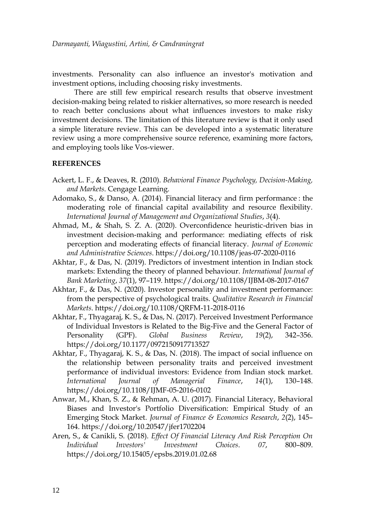investments. Personality can also influence an investor's motivation and investment options, including choosing risky investments.

There are still few empirical research results that observe investment decision-making being related to riskier alternatives, so more research is needed to reach better conclusions about what influences investors to make risky investment decisions. The limitation of this literature review is that it only used a simple literature review. This can be developed into a systematic literature review using a more comprehensive source reference, examining more factors, and employing tools like Vos-viewer.

## **REFERENCES**

- Ackert, L. F., & Deaves, R. (2010). *Behavioral Finance Psychology, Decision-Making, and Markets*. Cengage Learning.
- Adomako, S., & Danso, A. (2014). Financial literacy and firm performance : the moderating role of financial capital availability and resource flexibility. *International Journal of Management and Organizational Studies*, *3*(4).
- Ahmad, M., & Shah, S. Z. A. (2020). Overconfidence heuristic-driven bias in investment decision-making and performance: mediating effects of risk perception and moderating effects of financial literacy. *Journal of Economic and Administrative Sciences*. https://doi.org/10.1108/jeas-07-2020-0116
- Akhtar, F., & Das, N. (2019). Predictors of investment intention in Indian stock markets: Extending the theory of planned behaviour. *International Journal of Bank Marketing*, *37*(1), 97–119. https://doi.org/10.1108/IJBM-08-2017-0167
- Akhtar, F., & Das, N. (2020). Investor personality and investment performance: from the perspective of psychological traits. *Qualitative Research in Financial Markets*. https://doi.org/10.1108/QRFM-11-2018-0116
- Akhtar, F., Thyagaraj, K. S., & Das, N. (2017). Perceived Investment Performance of Individual Investors is Related to the Big-Five and the General Factor of Personality (GPF). *Global Business Review*, *19*(2), 342–356. https://doi.org/10.1177/0972150917713527
- Akhtar, F., Thyagaraj, K. S., & Das, N. (2018). The impact of social influence on the relationship between personality traits and perceived investment performance of individual investors: Evidence from Indian stock market. *International Journal of Managerial Finance*, *14*(1), 130–148. https://doi.org/10.1108/IJMF-05-2016-0102
- Anwar, M., Khan, S. Z., & Rehman, A. U. (2017). Financial Literacy, Behavioral Biases and Investor's Portfolio Diversification: Empirical Study of an Emerging Stock Market. *Journal of Finance & Economics Research*, *2*(2), 145– 164. https://doi.org/10.20547/jfer1702204
- Aren, S., & Canikli, S. (2018). *Effect Of Financial Literacy And Risk Perception On Individual Investors' Investment Choices*. *07*, 800–809. https://doi.org/10.15405/epsbs.2019.01.02.68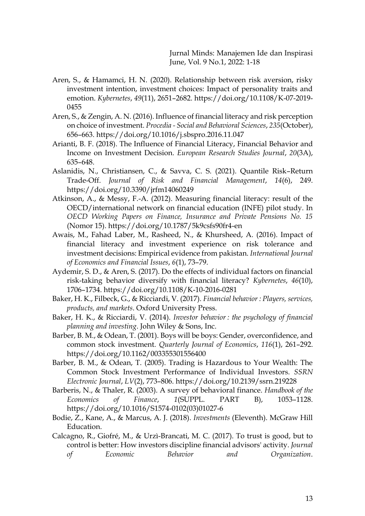- Aren, S., & Hamamci, H. N. (2020). Relationship between risk aversion, risky investment intention, investment choices: Impact of personality traits and emotion. *Kybernetes*, *49*(11), 2651–2682. https://doi.org/10.1108/K-07-2019- 0455
- Aren, S., & Zengin, A. N. (2016). Influence of financial literacy and risk perception on choice of investment. *Procedia - Social and Behavioral Sciences*, *235*(October), 656–663. https://doi.org/10.1016/j.sbspro.2016.11.047
- Arianti, B. F. (2018). The Influence of Financial Literacy, Financial Behavior and Income on Investment Decision. *European Research Studies Journal*, *20*(3A), 635–648.
- Aslanidis, N., Christiansen, C., & Savva, C. S. (2021). Quantile Risk–Return Trade-Off. *Journal of Risk and Financial Management*, *14*(6), 249. https://doi.org/10.3390/jrfm14060249
- Atkinson, A., & Messy, F.-A. (2012). Measuring financial literacy: result of the OECD/international network on financial education (INFE) pilot study. In *OECD Working Papers on Finance, Insurance and Private Pensions No. 15* (Nomor 15). https://doi.org/10.1787/5k9csfs90fr4-en
- Awais, M., Fahad Laber, M., Rasheed, N., & Khursheed, A. (2016). Impact of financial literacy and investment experience on risk tolerance and investment decisions: Empirical evidence from pakistan. *International Journal of Economics and Financial Issues*, *6*(1), 73–79.
- Aydemir, S. D., & Aren, S. (2017). Do the effects of individual factors on financial risk-taking behavior diversify with financial literacy? *Kybernetes*, *46*(10), 1706–1734. https://doi.org/10.1108/K-10-2016-0281
- Baker, H. K., Filbeck, G., & Ricciardi, V. (2017). *Financial behavior : Players, services, products, and markets*. Oxford University Press.
- Baker, H. K., & Ricciardi, V. (2014). *Investor behavior : the psychology of financial planning and investing*. John Wiley & Sons, Inc.
- Barber, B. M., & Odean, T. (2001). Boys will be boys: Gender, overconfidence, and common stock investment. *Quarterly Journal of Economics*, *116*(1), 261–292. https://doi.org/10.1162/003355301556400
- Barber, B. M., & Odean, T. (2005). Trading is Hazardous to Your Wealth: The Common Stock Investment Performance of Individual Investors. *SSRN Electronic Journal*, *LV*(2), 773–806. https://doi.org/10.2139/ssrn.219228
- Barberis, N., & Thaler, R. (2003). A survey of behavioral finance. *Handbook of the Economics of Finance*, *1*(SUPPL. PART B), 1053–1128. https://doi.org/10.1016/S1574-0102(03)01027-6
- Bodie, Z., Kane, A., & Marcus, A. J. (2018). *Investments* (Eleventh). McGraw Hill Education.
- Calcagno, R., Giofré, M., & Urzì-Brancati, M. C. (2017). To trust is good, but to control is better: How investors discipline financial advisors' activity. *Journal of Economic Behavior and Organization*.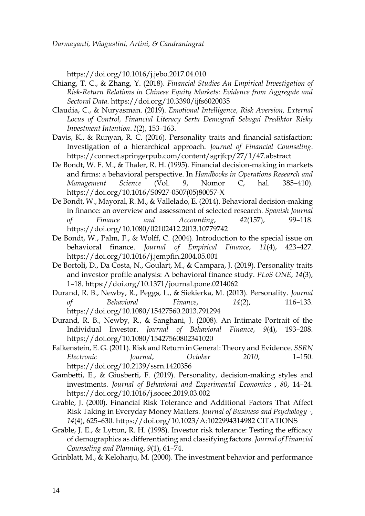https://doi.org/10.1016/j.jebo.2017.04.010

- Chiang, T. C., & Zhang, Y. (2018). *Financial Studies An Empirical Investigation of Risk-Return Relations in Chinese Equity Markets: Evidence from Aggregate and Sectoral Data*. https://doi.org/10.3390/ijfs6020035
- Claudia, C., & Nuryasman. (2019). *Emotional Intelligence, Risk Aversion, External Locus of Control, Financial Literacy Serta Demografi Sebagai Prediktor Risky Investment Intention*. *I*(2), 153–163.
- Davis, K., & Runyan, R. C. (2016). Personality traits and financial satisfaction: Investigation of a hierarchical approach. *Journal of Financial Counseling*. https://connect.springerpub.com/content/sgrjfcp/27/1/47.abstract
- De Bondt, W. F. M., & Thaler, R. H. (1995). Financial decision-making in markets and firms: a behavioral perspective. In *Handbooks in Operations Research and Management Science* (Vol. 9, Nomor C, hal. 385–410). https://doi.org/10.1016/S0927-0507(05)80057-X
- De Bondt, W., Mayoral, R. M., & Vallelado, E. (2014). Behavioral decision-making in finance: an overview and assessment of selected research. *Spanish Journal of Finance and Accounting*, *42*(157), 99–118. https://doi.org/10.1080/02102412.2013.10779742
- De Bondt, W., Palm, F., & Wolff, C. (2004). Introduction to the special issue on behavioral finance. *Journal of Empirical Finance*, *11*(4), 423–427. https://doi.org/10.1016/j.jempfin.2004.05.001
- De Bortoli, D., Da Costa, N., Goulart, M., & Campara, J. (2019). Personality traits and investor profile analysis: A behavioral finance study. *PLoS ONE*, *14*(3), 1–18. https://doi.org/10.1371/journal.pone.0214062
- Durand, R. B., Newby, R., Peggs, L., & Siekierka, M. (2013). Personality. *Journal of Behavioral Finance*, *14*(2), 116–133. https://doi.org/10.1080/15427560.2013.791294
- Durand, R. B., Newby, R., & Sanghani, J. (2008). An Intimate Portrait of the Individual Investor. *Journal of Behavioral Finance*, *9*(4), 193–208. https://doi.org/10.1080/15427560802341020
- Falkenstein, E. G. (2011). Risk and Return in General: Theory and Evidence. *SSRN Electronic Journal*, *October 2010*, 1–150. https://doi.org/10.2139/ssrn.1420356
- Gambetti, E., & Giusberti, F. (2019). Personality, decision-making styles and investments. *Journal of Behavioral and Experimental Economics* , *80*, 14–24. https://doi.org/10.1016/j.socec.2019.03.002
- Grable, J. (2000). Financial Risk Tolerance and Additional Factors That Affect Risk Taking in Everyday Money Matters. *Journal of Business and Psychology ·*, *14*(4), 625–630. https://doi.org/10.1023/A:1022994314982 CITATIONS
- Grable, J. E., & Lytton, R. H. (1998). Investor risk tolerance: Testing the efficacy of demographics as differentiating and classifying factors. *Journal of Financial Counseling and Planning*, *9*(1), 61–74.
- Grinblatt, M., & Keloharju, M. (2000). The investment behavior and performance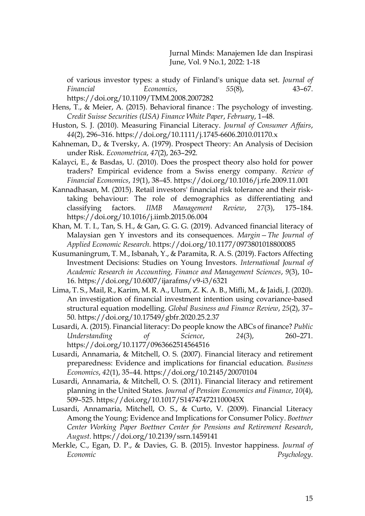of various investor types: a study of Finland's unique data set. *Journal of Financial Economics*, *55*(8), 43–67. https://doi.org/10.1109/TMM.2008.2007282

- Hens, T., & Meier, A. (2015). Behavioral finance : The psychology of investing. *Credit Suisse Securities (USA) Finance White Paper*, *February*, 1–48.
- Huston, S. J. (2010). Measuring Financial Literacy. *Journal of Consumer Affairs*, *44*(2), 296–316. https://doi.org/10.1111/j.1745-6606.2010.01170.x
- Kahneman, D., & Tversky, A. (1979). Prospect Theory: An Analysis of Decision under Risk. *Econometrica*, *47*(2), 263–292.
- Kalayci, E., & Basdas, U. (2010). Does the prospect theory also hold for power traders? Empirical evidence from a Swiss energy company. *Review of Financial Economics*, *19*(1), 38–45. https://doi.org/10.1016/j.rfe.2009.11.001
- Kannadhasan, M. (2015). Retail investors' financial risk tolerance and their risktaking behaviour: The role of demographics as differentiating and classifying factors. *IIMB Management Review*, *27*(3), 175–184. https://doi.org/10.1016/j.iimb.2015.06.004
- Khan, M. T. I., Tan, S. H., & Gan, G. G. G. (2019). Advanced financial literacy of Malaysian gen Y investors and its consequences. *Margin—The Journal of Applied Economic Research*. https://doi.org/10.1177/0973801018800085
- Kusumaningrum, T. M., Isbanah, Y., & Paramita, R. A. S. (2019). Factors Affecting Investment Decisions: Studies on Young Investors. *International Journal of Academic Research in Accounting, Finance and Management Sciences*, *9*(3), 10– 16. https://doi.org/10.6007/ijarafms/v9-i3/6321
- Lima, T. S., Mail, R., Karim, M. R. A., Ulum, Z. K. A. B., Mifli, M., & Jaidi, J. (2020). An investigation of financial investment intention using covariance-based structural equation modelling. *Global Business and Finance Review*, *25*(2), 37– 50. https://doi.org/10.17549/gbfr.2020.25.2.37
- Lusardi, A. (2015). Financial literacy: Do people know the ABCs of finance? *Public Understanding of Science*, *24*(3), 260–271. https://doi.org/10.1177/0963662514564516
- Lusardi, Annamaria, & Mitchell, O. S. (2007). Financial literacy and retirement preparedness: Evidence and implications for financial education. *Business Economics*, *42*(1), 35–44. https://doi.org/10.2145/20070104
- Lusardi, Annamaria, & Mitchell, O. S. (2011). Financial literacy and retirement planning in the United States. *Journal of Pension Economics and Finance*, *10*(4), 509–525. https://doi.org/10.1017/S147474721100045X
- Lusardi, Annamaria, Mitchell, O. S., & Curto, V. (2009). Financial Literacy Among the Young: Evidence and Implications for Consumer Policy. *Boettner Center Working Paper Boettner Center for Pensions and Retirement Research*, *August*. https://doi.org/10.2139/ssrn.1459141
- Merkle, C., Egan, D. P., & Davies, G. B. (2015). Investor happiness. *Journal of Economic Psychology*.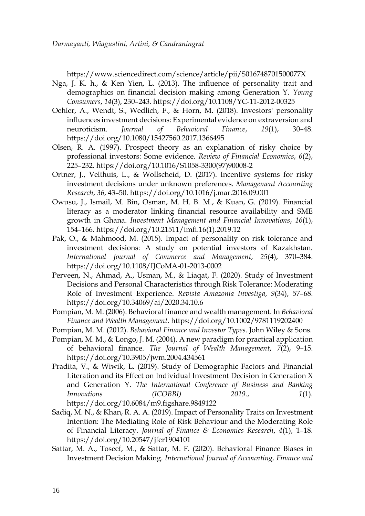https://www.sciencedirect.com/science/article/pii/S016748701500077X

- Nga, J. K. h., & Ken Yien, L. (2013). The influence of personality trait and demographics on financial decision making among Generation Y. *Young Consumers*, *14*(3), 230–243. https://doi.org/10.1108/YC-11-2012-00325
- Oehler, A., Wendt, S., Wedlich, F., & Horn, M. (2018). Investors' personality influences investment decisions: Experimental evidence on extraversion and neuroticism. *Journal of Behavioral Finance*, *19*(1), 30–48. https://doi.org/10.1080/15427560.2017.1366495
- Olsen, R. A. (1997). Prospect theory as an explanation of risky choice by professional investors: Some evidence. *Review of Financial Economics*, *6*(2), 225–232. https://doi.org/10.1016/S1058-3300(97)90008-2
- Ortner, J., Velthuis, L., & Wollscheid, D. (2017). Incentive systems for risky investment decisions under unknown preferences. *Management Accounting Research*, *36*, 43–50. https://doi.org/10.1016/j.mar.2016.09.001
- Owusu, J., Ismail, M. Bin, Osman, M. H. B. M., & Kuan, G. (2019). Financial literacy as a moderator linking financial resource availability and SME growth in Ghana. *Investment Management and Financial Innovations*, *16*(1), 154–166. https://doi.org/10.21511/imfi.16(1).2019.12
- Pak, O., & Mahmood, M. (2015). Impact of personality on risk tolerance and investment decisions: A study on potential investors of Kazakhstan. *International Journal of Commerce and Management*, *25*(4), 370–384. https://doi.org/10.1108/IJCoMA-01-2013-0002
- Perveen, N., Ahmad, A., Usman, M., & Liaqat, F. (2020). Study of Investment Decisions and Personal Characteristics through Risk Tolerance: Moderating Role of Investment Experience. *Revista Amazonia Investiga*, *9*(34), 57–68. https://doi.org/10.34069/ai/2020.34.10.6
- Pompian, M. M. (2006). Behavioral finance and wealth management. In *Behavioral Finance and Wealth Management*. https://doi.org/10.1002/9781119202400
- Pompian, M. M. (2012). *Behavioral Finance and Investor Types*. John Wiley & Sons.
- Pompian, M. M., & Longo, J. M. (2004). A new paradigm for practical application of behavioral finance. *The Journal of Wealth Management*, *7*(2), 9–15. https://doi.org/10.3905/jwm.2004.434561
- Pradita, V., & Wiwik, L. (2019). Study of Demographic Factors and Financial Literation and its Effect on Individual Investment Decision in Generation X and Generation Y. *The International Conference of Business and Banking Innovations (ICOBBI) 2019.*, *1*(1). https://doi.org/10.6084/m9.figshare.9849122
- Sadiq, M. N., & Khan, R. A. A. (2019). Impact of Personality Traits on Investment Intention: The Mediating Role of Risk Behaviour and the Moderating Role of Financial Literacy. *Journal of Finance & Economics Research*, *4*(1), 1–18. https://doi.org/10.20547/jfer1904101
- Sattar, M. A., Toseef, M., & Sattar, M. F. (2020). Behavioral Finance Biases in Investment Decision Making. *International Journal of Accounting, Finance and*